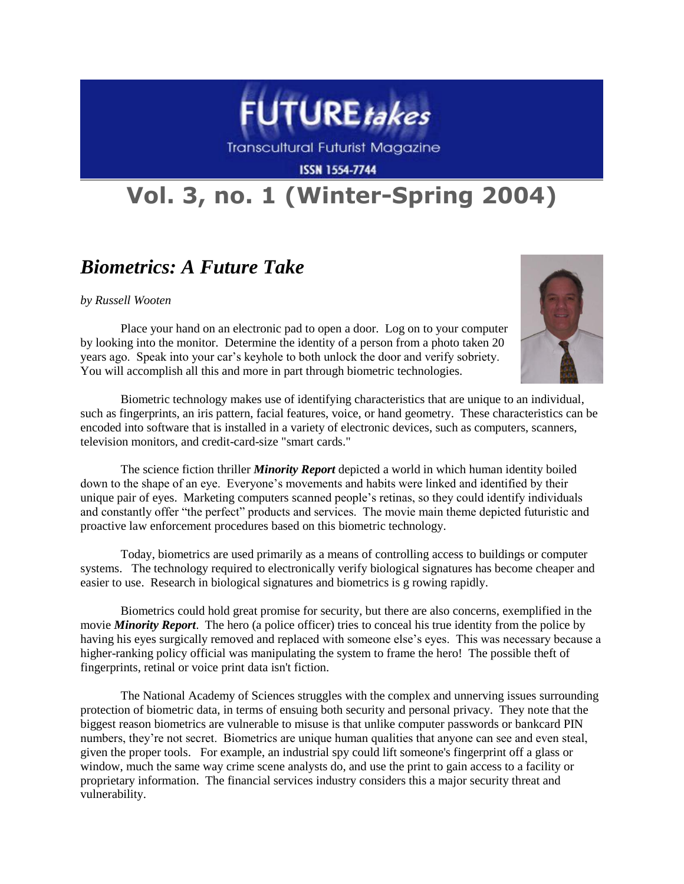

Transcultural Futurist Magazine

**ISSN 1554-7744** 

## **Vol. 3, no. 1 (Winter-Spring 2004)**

## *Biometrics: A Future Take*

*by Russell Wooten*

Place your hand on an electronic pad to open a door. Log on to your computer by looking into the monitor. Determine the identity of a person from a photo taken 20 years ago. Speak into your car's keyhole to both unlock the door and verify sobriety. You will accomplish all this and more in part through biometric technologies.



Biometric technology makes use of identifying characteristics that are unique to an individual, such as fingerprints, an iris pattern, facial features, voice, or hand geometry. These characteristics can be encoded into software that is installed in a variety of electronic devices, such as computers, scanners, television monitors, and credit-card-size "smart cards."

The science fiction thriller *Minority Report* depicted a world in which human identity boiled down to the shape of an eye. Everyone's movements and habits were linked and identified by their unique pair of eyes. Marketing computers scanned people's retinas, so they could identify individuals and constantly offer "the perfect" products and services. The movie main theme depicted futuristic and proactive law enforcement procedures based on this biometric technology.

Today, biometrics are used primarily as a means of controlling access to buildings or computer systems. The technology required to electronically verify biological signatures has become cheaper and easier to use. Research in biological signatures and biometrics is g rowing rapidly.

Biometrics could hold great promise for security, but there are also concerns, exemplified in the movie *Minority Report*. The hero (a police officer) tries to conceal his true identity from the police by having his eyes surgically removed and replaced with someone else's eyes. This was necessary because a higher-ranking policy official was manipulating the system to frame the hero! The possible theft of fingerprints, retinal or voice print data isn't fiction.

The National Academy of Sciences struggles with the complex and unnerving issues surrounding protection of biometric data, in terms of ensuing both security and personal privacy. They note that the biggest reason biometrics are vulnerable to misuse is that unlike computer passwords or bankcard PIN numbers, they're not secret. Biometrics are unique human qualities that anyone can see and even steal, given the proper tools. For example, an industrial spy could lift someone's fingerprint off a glass or window, much the same way crime scene analysts do, and use the print to gain access to a facility or proprietary information. The financial services industry considers this a major security threat and vulnerability.